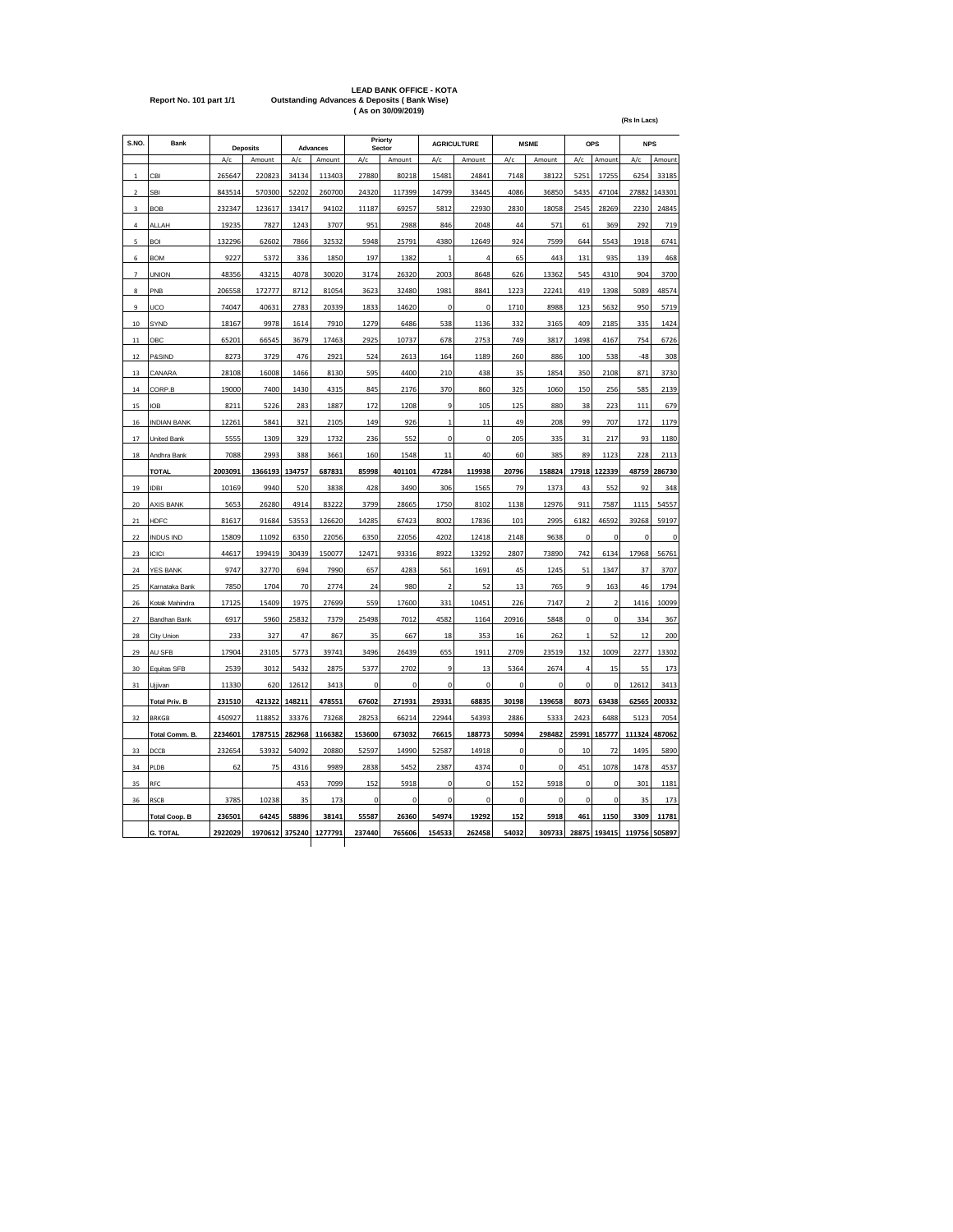# **LEAD BANK OFFICE - KOTA Report No. 101 part 1/1 Outstanding Advances & Deposits ( Bank Wise) ( As on 30/09/2019)**

**(Rs In Lacs)**

| S.NO.                   | Bank                 |         | <b>Deposits</b> |        | <b>Advances</b> |        | Priorty<br>Sector |              | <b>AGRICULTURE</b> |             | <b>MSME</b> |                         | <b>OPS</b>              | <b>NPS</b>  |             |
|-------------------------|----------------------|---------|-----------------|--------|-----------------|--------|-------------------|--------------|--------------------|-------------|-------------|-------------------------|-------------------------|-------------|-------------|
|                         |                      | A/c     | Amount          | A/c    | Amount          | A/c    | Amount            | A/c          | Amount             | A/c         | Amount      | A/c                     | Amount                  | A/c         | Amount      |
| 1                       | CBI                  | 265647  | 220823          | 34134  | 113403          | 27880  | 80218             | 15481        | 24841              | 7148        | 38122       | 5251                    | 17255                   | 6254        | 33185       |
| $\overline{\mathbf{c}}$ | <b>SBI</b>           | 843514  | 570300          | 52202  | 260700          | 24320  | 117399            | 14799        | 33445              | 4086        | 36850       | 5435                    | 47104                   | 27882       | 143301      |
| 3                       | <b>BOB</b>           | 232347  | 123617          | 13417  | 94102           | 11187  | 69257             | 5812         | 22930              | 2830        | 18058       | 2545                    | 28269                   | 2230        | 24845       |
| 4                       | ALLAH                | 19235   | 7827            | 1243   | 3707            | 951    | 2988              | 846          | 2048               | 44          | 571         | 61                      | 369                     | 292         | 719         |
| 5                       | <b>BOI</b>           | 132296  | 62602           | 7866   | 32532           | 5948   | 25791             | 4380         | 12649              | 924         | 7599        | 644                     | 5543                    | 1918        | 6741        |
| 6                       | <b>BOM</b>           | 9227    | 5372            | 336    | 1850            | 197    | 1382              | 1            | 4                  | 65          | 443         | 131                     | 935                     | 139         | 468         |
| $\overline{7}$          | <b>UNION</b>         | 48356   | 43215           | 4078   | 30020           | 3174   | 26320             | 2003         | 8648               | 626         | 13362       | 545                     | 4310                    | 904         | 3700        |
| 8                       | PNB                  | 206558  | 172777          | 8712   | 81054           | 3623   | 32480             | 1981         | 8841               | 1223        | 22241       | 419                     | 1398                    | 5089        | 48574       |
| 9                       | UCO                  | 74047   | 40631           | 2783   | 20339           | 1833   | 14620             | 0            | 0                  | 1710        | 8988        | 123                     | 5632                    | 950         | 5719        |
| 10                      | SYND                 | 18167   | 9978            | 1614   | 7910            | 1279   | 6486              | 538          | 1136               | 332         | 3165        | 409                     | 2185                    | 335         | 1424        |
| 11                      | OBC                  | 65201   | 66545           | 3679   | 17463           | 2925   | 10737             | 678          | 2753               | 749         | 3817        | 1498                    | 4167                    | 754         | 6726        |
| 12                      | P&SIND               | 8273    | 3729            | 476    | 2921            | 524    | 2613              | 164          | 1189               | 260         | 886         | 100                     | 538                     | $-48$       | 308         |
| 13                      | CANARA               | 28108   | 16008           | 1466   | 8130            | 595    | 4400              | 210          | 438                | 35          | 1854        | 350                     | 2108                    | 871         | 3730        |
| 14                      | CORP.B               | 19000   | 7400            | 1430   | 4315            | 845    | 2176              | 370          | 860                | 325         | 1060        | 150                     | 256                     | 585         | 2139        |
| 15                      | <b>IOB</b>           | 8211    | 5226            | 283    | 1887            | 172    | 1208              | 9            | 105                | 125         | 880         | 38                      | 223                     | 111         | 679         |
| 16                      | <b>INDIAN BANK</b>   | 12261   | 5841            | 321    | 2105            | 149    | 926               | $\mathbf{1}$ | 11                 | 49          | 208         | 99                      | 707                     | 172         | 1179        |
| 17                      | <b>United Bank</b>   | 5555    | 1309            | 329    | 1732            | 236    | 552               | $\mathbf 0$  | $\mathbf 0$        | 205         | 335         | 31                      | 217                     | 93          | 1180        |
| 18                      | Andhra Bank          | 7088    | 2993            | 388    | 3661            | 160    | 1548              | 11           | 40                 | 60          | 385         | 89                      | 1123                    | 228         | 2113        |
|                         | <b>TOTAL</b>         | 2003091 | 1366193         | 134757 | 687831          | 85998  | 401101            | 47284        | 119938             | 20796       | 158824      | 17918                   | 122339                  | 48759       | 286730      |
| 19                      | <b>IDBI</b>          | 10169   | 9940            | 520    | 3838            | 428    | 3490              | 306          | 1565               | 79          | 1373        | 43                      | 552                     | 92          | 348         |
| 20                      | <b>AXIS BANK</b>     | 5653    | 26280           | 4914   | 83222           | 3799   | 28665             | 1750         | 8102               | 1138        | 12976       | 911                     | 7587                    | 1115        | 54557       |
| 21                      | <b>HDFC</b>          | 81617   | 91684           | 53553  | 126620          | 14285  | 67423             | 8002         | 17836              | 101         | 2995        | 6182                    | 46592                   | 39268       | 59197       |
| 22                      | <b>INDUS IND</b>     | 15809   | 11092           | 6350   | 22056           | 6350   | 22056             | 4202         | 12418              | 2148        | 9638        | $\mathbf 0$             | $\mathbf 0$             | $\mathbf 0$ | $\mathbf 0$ |
| 23                      | <b>ICICI</b>         | 44617   | 199419          | 30439  | 150077          | 12471  | 93316             | 8922         | 13292              | 2807        | 73890       | 742                     | 6134                    | 17968       | 56761       |
| 24                      | <b>YES BANK</b>      | 9747    | 32770           | 694    | 7990            | 657    | 4283              | 561          | 1691               | 45          | 1245        | 51                      | 1347                    | 37          | 3707        |
| 25                      | Karnataka Bank       | 7850    | 1704            | 70     | 2774            | 24     | 980               | 2            | 52                 | 13          | 765         | 9                       | 163                     | 46          | 1794        |
| 26                      | Kotak Mahindra       | 17125   | 15409           | 1975   | 27699           | 559    | 17600             | 331          | 10451              | 226         | 7147        | $\overline{\mathbf{c}}$ | $\overline{\mathbf{c}}$ | 1416        | 10099       |
| 27                      | Bandhan Bank         | 6917    | 5960            | 25832  | 7379            | 25498  | 7012              | 4582         | 1164               | 20916       | 5848        | 0                       | $\pmb{0}$               | 334         | 367         |
| 28                      | City Union           | 233     | 327             | 47     | 867             | 35     | 667               | 18           | 353                | 16          | 262         | $\mathbf{1}$            | 52                      | 12          | 200         |
| 29                      | AU SFB               | 17904   | 23105           | 5773   | 39741           | 3496   | 26439             | 655          | 1911               | 2709        | 23519       | 132                     | 1009                    | 2277        | 13302       |
| 30                      | Equitas SFB          | 2539    | 3012            | 5432   | 2875            | 5377   | 2702              | q            | 13                 | 5364        | 2674        | $\overline{a}$          | 15                      | 55          | 173         |
| 31                      | Ujjivan              | 11330   | 620             | 12612  | 3413            | 0      | $\bf 0$           | $\mathbf 0$  | 0                  | 0           | $\bf 0$     | 0                       | 0                       | 12612       | 3413        |
|                         | <b>Total Priv. B</b> | 231510  | 421322          | 148211 | 478551          | 67602  | 271931            | 29331        | 68835              | 30198       | 139658      | 8073                    | 63438                   | 62565       | 200332      |
| 32                      | <b>BRKGB</b>         | 450927  | 118852          | 33376  | 73268           | 28253  | 66214             | 22944        | 54393              | 2886        | 5333        | 2423                    | 6488                    | 5123        | 7054        |
|                         | Total Comm. B.       | 2234601 | 1787515         | 282968 | 1166382         | 153600 | 673032            | 76615        | 188773             | 50994       | 298482      | 25991                   | 185777                  | 111324      | 487062      |
| 33                      | DCCB                 | 232654  | 53932           | 54092  | 20880           | 52597  | 14990             | 52587        | 14918              | 0           | $\mathbf 0$ | 10                      | 72                      | 1495        | 5890        |
| 34                      | PLDB                 | 62      | 75              | 4316   | 9989            | 2838   | 5452              | 2387         | 4374               | $\mathbf 0$ | $\mathbf 0$ | 451                     | 1078                    | 1478        | 4537        |
| 35                      | RFC                  |         |                 | 453    | 7099            | 152    | 5918              | 0            | 0                  | 152         | 5918        | 0                       | 0                       | 301         | 1181        |
| 36                      | <b>RSCB</b>          | 3785    | 10238           | 35     | 173             | 0      | $\pmb{0}$         | 0            | 0                  | 0           | $\bf 0$     | 0                       | $\mathbf 0$             | 35          | 173         |
|                         | <b>Total Coop. B</b> | 236501  | 64245           | 58896  | 38141           | 55587  | 26360             | 54974        | 19292              | 152         | 5918        | 461                     | 1150                    | 3309        | 11781       |
|                         | <b>G. TOTAL</b>      | 2922029 | 1970612         | 375240 | 1277791         | 237440 | 765606            | 154533       | 262458             | 54032       | 309733      | 28875                   | 193415                  | 119756      | 505897      |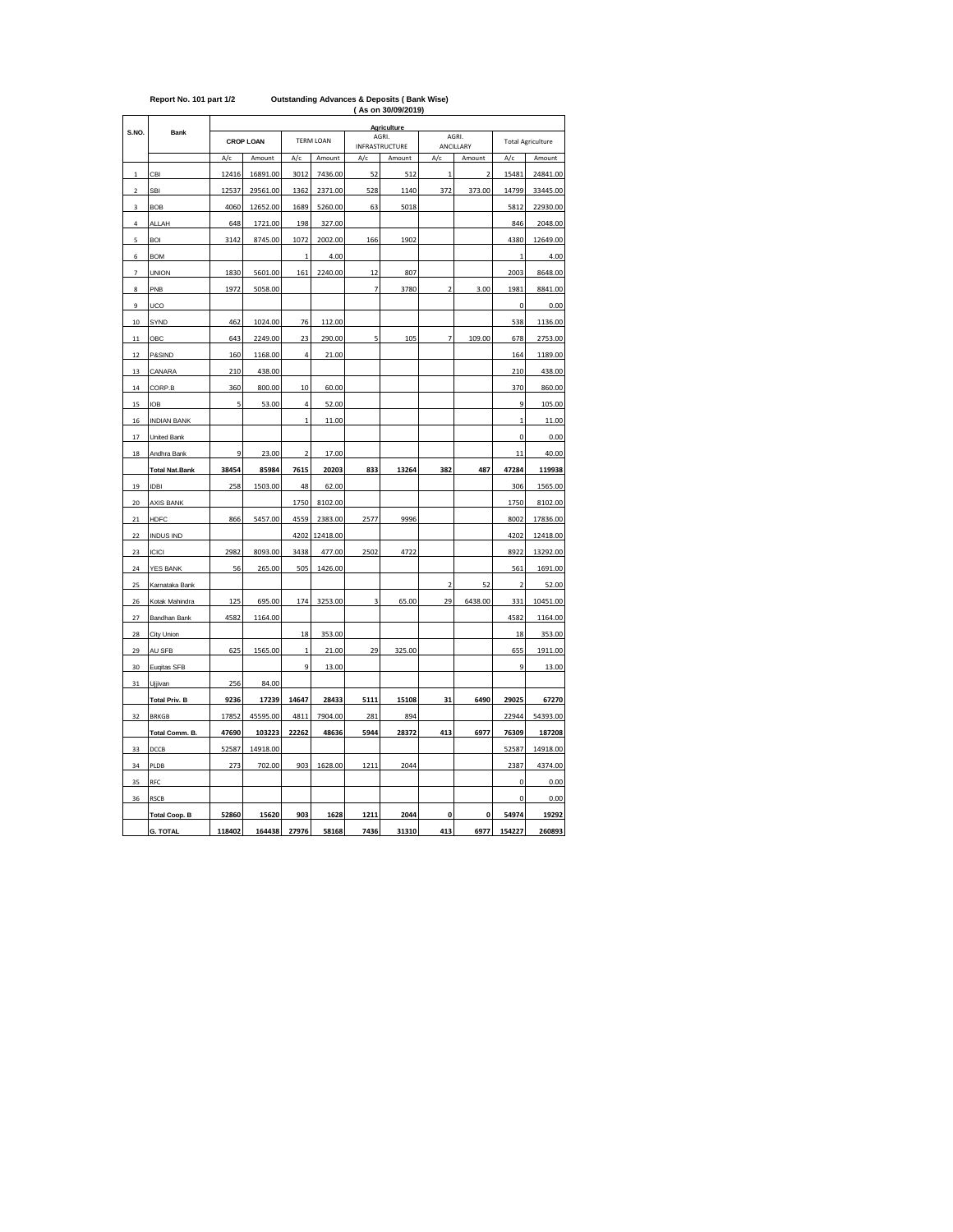|                |                       |                  |          |                  |          |      | <b>RS ON SUIDBIZUTS</b>        |                |                    |                |                          |
|----------------|-----------------------|------------------|----------|------------------|----------|------|--------------------------------|----------------|--------------------|----------------|--------------------------|
|                |                       |                  |          |                  |          |      | <b>Agriculture</b>             |                |                    |                |                          |
| S.NO.          | Bank                  | <b>CROP LOAN</b> |          | <b>TERM LOAN</b> |          |      | AGRI.<br><b>INFRASTRUCTURE</b> |                | AGRI.<br>ANCILLARY |                | <b>Total Agriculture</b> |
|                |                       | A/c              | Amount   | A/c              | Amount   | A/c  | Amount                         | A/c            | Amount             | A/c            | Amount                   |
| $\,$ 1         | CBI                   | 12416            | 16891.00 | 3012             | 7436.00  | 52   | 512                            | $\mathbf{1}$   | 2                  | 15481          | 24841.00                 |
| $\mathbf 2$    | SBI                   | 12537            | 29561.00 | 1362             | 2371.00  | 528  | 1140                           | 372            | 373.00             | 14799          | 33445.00                 |
| 3              | <b>BOB</b>            | 4060             | 12652.00 | 1689             | 5260.00  | 63   | 5018                           |                |                    | 5812           | 22930.00                 |
| $\sqrt{4}$     | <b>ALLAH</b>          | 648              | 1721.00  | 198              | 327.00   |      |                                |                |                    | 846            | 2048.00                  |
| 5              | <b>BOI</b>            | 3142             | 8745.00  | 1072             | 2002.00  | 166  | 1902                           |                |                    | 4380           | 12649.00                 |
| 6              | <b>BOM</b>            |                  |          | $\mathbf 1$      | 4.00     |      |                                |                |                    | $\mathbf{1}$   | 4.00                     |
| $\overline{1}$ | <b>UNION</b>          | 1830             | 5601.00  | 161              | 2240.00  | 12   | 807                            |                |                    | 2003           | 8648.00                  |
| 8              | PNB                   | 1972             | 5058.00  |                  |          | 7    | 3780                           | $\overline{2}$ | 3.00               | 1981           | 8841.00                  |
| 9              | UCO                   |                  |          |                  |          |      |                                |                |                    | 0              | 0.00                     |
| $10\,$         | SYND                  | 462              | 1024.00  | 76               | 112.00   |      |                                |                |                    | 538            | 1136.00                  |
| 11             | OBC                   | 643              | 2249.00  | 23               | 290.00   | 5    | 105                            | 7              | 109.00             | 678            | 2753.00                  |
| 12             | P&SIND                | 160              | 1168.00  | 4                | 21.00    |      |                                |                |                    | 164            | 1189.00                  |
| 13             | CANARA                | 210              | 438.00   |                  |          |      |                                |                |                    | 210            | 438.00                   |
| 14             | CORP.B                | 360              | 800.00   | 10               | 60.00    |      |                                |                |                    | 370            | 860.00                   |
| 15             | <b>IOB</b>            | 5                | 53.00    | 4                | 52.00    |      |                                |                |                    | 9              | 105.00                   |
| 16             | <b>INDIAN BANK</b>    |                  |          | $\mathbf{1}$     | 11.00    |      |                                |                |                    | $\mathbf{1}$   | 11.00                    |
| 17             | United Bank           |                  |          |                  |          |      |                                |                |                    | 0              | 0.00                     |
| 18             | Andhra Bank           | 9                | 23.00    | $\overline{2}$   | 17.00    |      |                                |                |                    | 11             | 40.00                    |
|                | <b>Total Nat.Bank</b> | 38454            | 85984    | 7615             | 20203    | 833  | 13264                          | 382            | 487                | 47284          | 119938                   |
| 19             | <b>IDBI</b>           | 258              | 1503.00  | 48               | 62.00    |      |                                |                |                    | 306            | 1565.00                  |
| 20             | <b>AXIS BANK</b>      |                  |          | 1750             | 8102.00  |      |                                |                |                    | 1750           | 8102.00                  |
| 21             | <b>HDFC</b>           | 866              | 5457.00  | 4559             | 2383.00  | 2577 | 9996                           |                |                    | 8002           | 17836.00                 |
| 22             | <b>INDUS IND</b>      |                  |          | 4202             | 12418.00 |      |                                |                |                    | 4202           | 12418.00                 |
| 23             | <b>ICICI</b>          | 2982             | 8093.00  | 3438             | 477.00   | 2502 | 4722                           |                |                    | 8922           | 13292.00                 |
| 24             | YES BANK              | 56               | 265.00   | 505              | 1426.00  |      |                                |                |                    | 561            | 1691.00                  |
| 25             | Karnataka Bank        |                  |          |                  |          |      |                                | $\overline{2}$ | 52                 | $\overline{2}$ | 52.00                    |
| 26             | Kotak Mahindra        | 125              | 695.00   | 174              | 3253.00  | 3    | 65.00                          | 29             | 6438.00            | 331            | 10451.00                 |
| 27             | Bandhan Bank          | 4582             | 1164.00  |                  |          |      |                                |                |                    | 4582           | 1164.00                  |
| 28             | City Union            |                  |          | 18               | 353.00   |      |                                |                |                    | 18             | 353.00                   |
| 29             | AU SFB                | 625              | 1565.00  | $\mathbf{1}$     | 21.00    | 29   | 325.00                         |                |                    | 655            | 1911.00                  |
| 30             | Eugitas SFB           |                  |          | 9                | 13.00    |      |                                |                |                    | 9              | 13.00                    |
| 31             | Ujjivan               | 256              | 84.00    |                  |          |      |                                |                |                    |                |                          |
|                | <b>Total Priv. B</b>  | 9236             | 17239    | 14647            | 28433    | 5111 | 15108                          | 31             | 6490               | 29025          | 67270                    |
| 32             | <b>BRKGB</b>          | 17852            | 45595.00 | 4811             | 7904.00  | 281  | 894                            |                |                    | 22944          | 54393.00                 |
|                | Total Comm. B.        | 47690            | 103223   | 22262            | 48636    | 5944 | 28372                          | 413            | 6977               | 76309          | 187208                   |
| 33             | DCCB                  | 52587            | 14918.00 |                  |          |      |                                |                |                    | 52587          | 14918.00                 |
| 34             | PLDB                  | 273              | 702.00   | 903              | 1628.00  | 1211 | 2044                           |                |                    | 2387           | 4374.00                  |
| 35             | RFC                   |                  |          |                  |          |      |                                |                |                    | 0              | 0.00                     |
| 36             | <b>RSCB</b>           |                  |          |                  |          |      |                                |                |                    | 0              | 0.00                     |
|                | <b>Total Coop. B</b>  | 52860            | 15620    | 903              | 1628     | 1211 | 2044                           | $\mathbf{0}$   | 0                  | 54974          | 19292                    |
|                | <b>G. TOTAL</b>       | 118402           | 164438   | 27976            | 58168    | 7436 | 31310                          | 413            | 6977               | 154227         | 260893                   |

## **( As on 30/09/2019) Report No. 101 part 1/2 Outstanding Advances & Deposits ( Bank Wise)**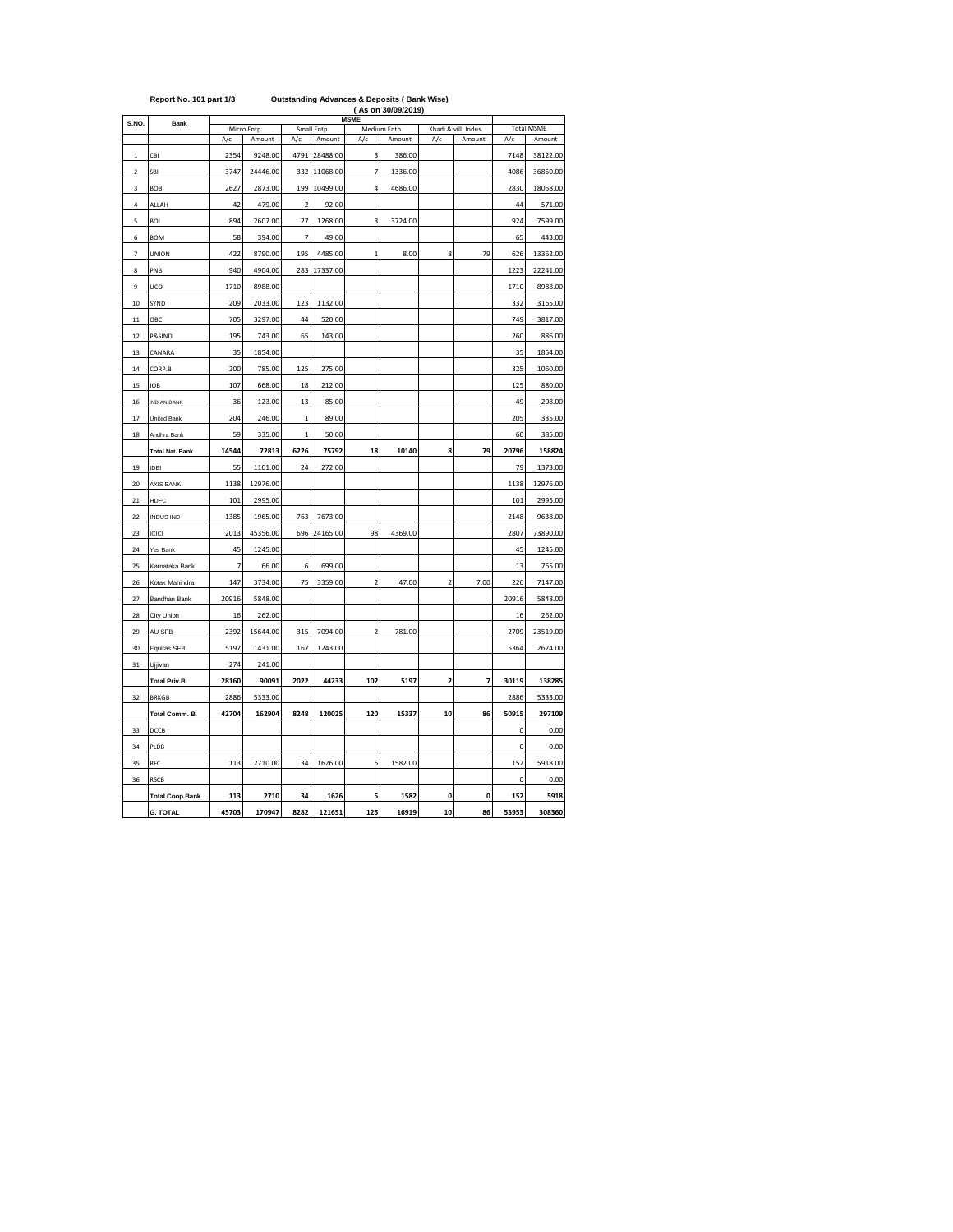| S.NO.<br>$\mathbf 1$<br>$\overline{\mathbf{c}}$<br>3<br>4<br>5<br>6 | Bank<br>CBI<br>SBI<br>BOB<br>ALLAH | A/c<br>2354<br>3747 | Micro Entp.<br>Amount<br>9248.00 | A/c            | Small Entp.<br>Amount | <b>MSME</b><br>A/c      | Medium Entp. |                | Khadi & vill. Indus. | A/c         | <b>Total MSME</b> |
|---------------------------------------------------------------------|------------------------------------|---------------------|----------------------------------|----------------|-----------------------|-------------------------|--------------|----------------|----------------------|-------------|-------------------|
|                                                                     |                                    |                     |                                  |                |                       |                         |              |                |                      |             |                   |
|                                                                     |                                    |                     |                                  |                |                       |                         | Amount       | A/c            | Amount               |             | Amount            |
|                                                                     |                                    |                     |                                  | 4791           | 28488.00              | 3                       | 386.00       |                |                      | 7148        | 38122.00          |
|                                                                     |                                    |                     | 24446.00                         | 332            | 11068.00              | 7                       | 1336.00      |                |                      | 4086        | 36850.00          |
|                                                                     |                                    | 2627                | 2873.00                          | 199            | 10499.00              | 4                       | 4686.00      |                |                      | 2830        | 18058.00          |
|                                                                     |                                    | 42                  | 479.00                           | $\overline{2}$ | 92.00                 |                         |              |                |                      | 44          | 571.00            |
|                                                                     | BOI                                | 894                 | 2607.00                          | 27             | 1268.00               | 3                       | 3724.00      |                |                      | 924         | 7599.00           |
|                                                                     | <b>BOM</b>                         | 58                  | 394.00                           | $\overline{7}$ | 49.00                 |                         |              |                |                      | 65          | 443.00            |
| $\overline{7}$                                                      | <b>UNION</b>                       | 422                 | 8790.00                          | 195            | 4485.00               | $\overline{1}$          | 8.00         | 8              | 79                   | 626         | 13362.00          |
| 8                                                                   | PNB                                | 940                 | 4904.00                          | 283            | 17337.00              |                         |              |                |                      | 1223        | 22241.00          |
| 9                                                                   | UCO                                | 1710                | 8988.00                          |                |                       |                         |              |                |                      | 1710        | 8988.00           |
| 10                                                                  | SYND                               | 209                 | 2033.00                          | 123            | 1132.00               |                         |              |                |                      | 332         | 3165.00           |
| 11                                                                  | OBC                                | 705                 | 3297.00                          | 44             | 520.00                |                         |              |                |                      | 749         | 3817.00           |
| 12                                                                  | P&SIND                             | 195                 | 743.00                           | 65             | 143.00                |                         |              |                |                      | 260         | 886.00            |
| 13                                                                  | CANARA                             | 35                  | 1854.00                          |                |                       |                         |              |                |                      | 35          | 1854.00           |
| 14                                                                  | CORP.B                             | 200                 | 785.00                           | 125            | 275.00                |                         |              |                |                      | 325         | 1060.00           |
| 15                                                                  | <b>IOB</b>                         | 107                 | 668.00                           | 18             | 212.00                |                         |              |                |                      | 125         | 880.00            |
| 16                                                                  | <b>INDIAN BANK</b>                 | 36                  | 123.00                           | 13             | 85.00                 |                         |              |                |                      | 49          | 208.00            |
| 17                                                                  | United Bank                        | 204                 | 246.00                           | $\mathbf{1}$   | 89.00                 |                         |              |                |                      | 205         | 335.00            |
| 18                                                                  | Andhra Bank                        | 59                  | 335.00                           | $\overline{1}$ | 50.00                 |                         |              |                |                      | 60          | 385.00            |
|                                                                     | <b>Total Nat. Bank</b>             | 14544               | 72813                            | 6226           | 75792                 | 18                      | 10140        | 8              | 79                   | 20796       | 158824            |
| 19                                                                  | <b>IDBI</b>                        | 55                  | 1101.00                          | 24             | 272.00                |                         |              |                |                      | 79          | 1373.00           |
| 20                                                                  | <b>AXIS BANK</b>                   | 1138                | 12976.00                         |                |                       |                         |              |                |                      | 1138        | 12976.00          |
| 21                                                                  | <b>HDFC</b>                        | 101                 | 2995.00                          |                |                       |                         |              |                |                      | 101         | 2995.00           |
| 22                                                                  | <b>INDUS IND</b>                   | 1385                | 1965.00                          | 763            | 7673.00               |                         |              |                |                      | 2148        | 9638.00           |
| 23                                                                  | ICICI                              | 2013                | 45356.00                         | 696            | 24165.00              | 98                      | 4369.00      |                |                      | 2807        | 73890.00          |
| 24                                                                  | Yes Bank                           | 45                  | 1245.00                          |                |                       |                         |              |                |                      | 45          | 1245.00           |
| 25                                                                  | Karnataka Bank                     | $\overline{7}$      | 66.00                            | 6              | 699.00                |                         |              |                |                      | 13          | 765.00            |
| 26                                                                  | Kotak Mahindra                     | 147                 | 3734.00                          | 75             | 3359.00               | $\overline{\mathbf{c}}$ | 47.00        | $\overline{2}$ | 7.00                 | 226         | 7147.00           |
| 27                                                                  | Bandhan Bank                       | 20916               | 5848.00                          |                |                       |                         |              |                |                      | 20916       | 5848.00           |
| 28                                                                  | City Union                         | 16                  | 262.00                           |                |                       |                         |              |                |                      | 16          | 262.00            |
| 29                                                                  | AU SFB                             | 2392                | 15644.00                         | 315            | 7094.00               | $\overline{2}$          | 781.00       |                |                      | 2709        | 23519.00          |
| 30                                                                  | Equitas SFB                        | 5197                | 1431.00                          | 167            | 1243.00               |                         |              |                |                      | 5364        | 2674.00           |
| 31                                                                  | Ujjivan                            | 274                 | 241.00                           |                |                       |                         |              |                |                      |             |                   |
|                                                                     | <b>Total Priv.B</b>                | 28160               | 90091                            | 2022           | 44233                 | 102                     | 5197         | $\overline{2}$ | $\overline{7}$       | 30119       | 138285            |
| 32                                                                  | <b>BRKGB</b>                       | 2886                | 5333.00                          |                |                       |                         |              |                |                      | 2886        | 5333.00           |
|                                                                     | Total Comm. B.                     | 42704               | 162904                           | 8248           | 120025                | 120                     | 15337        | 10             | 86                   | 50915       | 297109            |
| 33                                                                  | DCCB                               |                     |                                  |                |                       |                         |              |                |                      | $\mathbf 0$ | 0.00              |
| 34                                                                  | PLDB                               |                     |                                  |                |                       |                         |              |                |                      | 0           | 0.00              |
| 35                                                                  | RFC                                | 113                 | 2710.00                          | 34             | 1626.00               | 5                       | 1582.00      |                |                      | 152         | 5918.00           |
| 36                                                                  | <b>RSCB</b>                        |                     |                                  |                |                       |                         |              |                |                      | 0           | 0.00              |
|                                                                     | <b>Total Coop.Bank</b>             | 113                 | 2710                             | 34             | 1626                  | 5                       | 1582         | 0              | $\mathbf{0}$         | 152         | 5918              |
|                                                                     | <b>G. TOTAL</b>                    | 45703               | 170947                           | 8282           | 121651                | 125                     | 16919        | 10             | 86                   | 53953       | 308360            |

#### **Report No. 101 part 1/3 Outstanding Advances & Deposits ( Bank Wise)**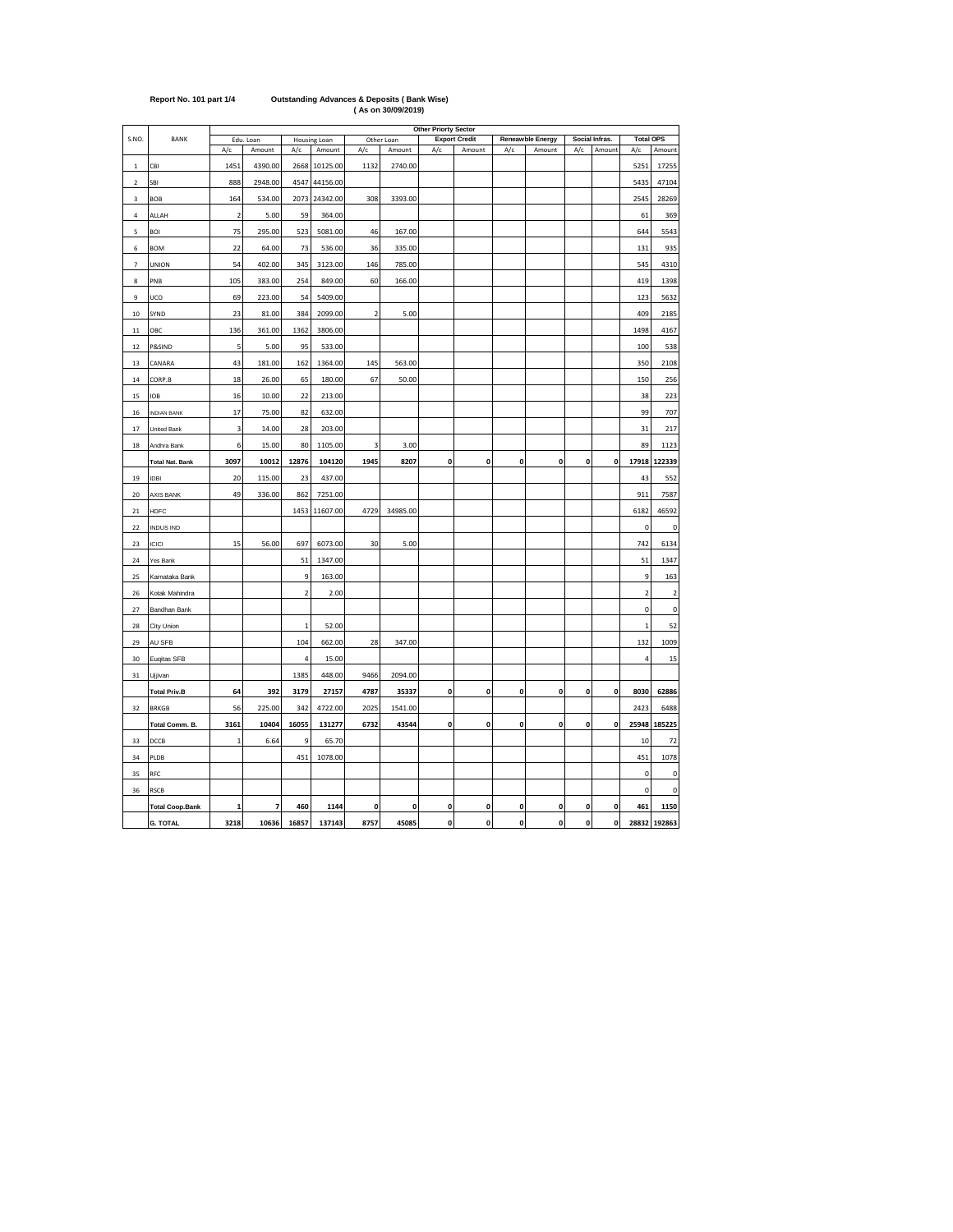|                          |                        | Other Priorty Sector<br><b>Total OPS</b> |                   |                |                    |                         |                   |              |                      |              |                  |              |                |             |                 |
|--------------------------|------------------------|------------------------------------------|-------------------|----------------|--------------------|-------------------------|-------------------|--------------|----------------------|--------------|------------------|--------------|----------------|-------------|-----------------|
| S.NO.                    | BANK                   |                                          | Edu. Loan         |                | Housing Loan       |                         | Other Loan        |              | <b>Export Credit</b> |              | Reneawble Energy |              | Social Infras. |             |                 |
|                          | CBI                    | A/c                                      | Amount<br>4390.00 | A/c<br>2668    | Amount<br>10125.00 | A/c<br>1132             | Amount<br>2740.00 | A/c          | Amount               | A/c          | Amount           | A/c          | Amount         | A/c<br>5251 | Amount<br>17255 |
| $\,$ 1<br>2              | SBI                    | 1451<br>888                              | 2948.00           | 4547           | 44156.00           |                         |                   |              |                      |              |                  |              |                | 5435        | 47104           |
|                          |                        | 164                                      | 534.00            | 2073           | 24342.00           | 308                     | 3393.00           |              |                      |              |                  |              |                | 2545        | 28269           |
| 3<br>$\sqrt{4}$          | BOB                    | $\overline{2}$                           | 5.00              |                | 364.00             |                         |                   |              |                      |              |                  |              |                |             | 369             |
|                          | ALLAH<br><b>BOI</b>    | 75                                       | 295.00            | 59             |                    | 46                      |                   |              |                      |              |                  |              |                | 61<br>644   | 5543            |
| 5                        |                        |                                          |                   | 523            | 5081.00            |                         | 167.00            |              |                      |              |                  |              |                |             |                 |
| 6                        | <b>BOM</b>             | 22                                       | 64.00             | 73             | 536.00             | 36                      | 335.00            |              |                      |              |                  |              |                | 131         | 935             |
| $\overline{\phantom{a}}$ | <b>UNION</b>           | 54                                       | 402.00            | 345            | 3123.00            | 146                     | 785.00            |              |                      |              |                  |              |                | 545         | 4310            |
| 8                        | PNB                    | 105                                      | 383.00            | 254            | 849.00             | 60                      | 166.00            |              |                      |              |                  |              |                | 419         | 1398            |
| 9                        | UCO                    | 69                                       | 223.00            | 54             | 5409.00            |                         |                   |              |                      |              |                  |              |                | 123         | 5632            |
| $10\,$                   | SYND                   | 23                                       | 81.00             | 384            | 2099.00            | $\overline{\mathbf{2}}$ | 5.00              |              |                      |              |                  |              |                | 409         | 2185            |
| 11                       | OBC                    | 136                                      | 361.00            | 1362           | 3806.00            |                         |                   |              |                      |              |                  |              |                | 1498        | 4167            |
| 12                       | P&SIND                 | 5                                        | 5.00              | 95             | 533.00             |                         |                   |              |                      |              |                  |              |                | 100         | 538             |
| 13                       | CANARA                 | 43                                       | 181.00            | 162            | 1364.00            | 145                     | 563.00            |              |                      |              |                  |              |                | 350         | 2108            |
| 14                       | CORP.B                 | 18                                       | 26.00             | 65             | 180.00             | 67                      | 50.00             |              |                      |              |                  |              |                | 150         | 256             |
| 15                       | <b>IOB</b>             | 16                                       | 10.00             | 22             | 213.00             |                         |                   |              |                      |              |                  |              |                | 38          | 223             |
| 16                       | <b>INDIAN BANK</b>     | 17                                       | 75.00             | 82             | 632.00             |                         |                   |              |                      |              |                  |              |                | 99          | 707             |
| 17                       | United Bank            | 3                                        | 14.00             | 28             | 203.00             |                         |                   |              |                      |              |                  |              |                | 31          | 217             |
| 18                       | Andhra Bank            | 6                                        | 15.00             | 80             | 1105.00            | 3                       | 3.00              |              |                      |              |                  |              |                | 89          | 1123            |
|                          | <b>Total Nat. Bank</b> | 3097                                     | 10012             | 12876          | 104120             | 1945                    | 8207              | 0            | 0                    | 0            | 0                | 0            | 0              | 17918       | 122339          |
| 19                       | IDBI                   | 20                                       | 115.00            | 23             | 437.00             |                         |                   |              |                      |              |                  |              |                | 43          | 552             |
| 20                       | AXIS BANK              | 49                                       | 336.00            | 862            | 7251.00            |                         |                   |              |                      |              |                  |              |                | 911         | 7587            |
| 21                       | <b>HDFC</b>            |                                          |                   | 1453           | 11607.00           | 4729                    | 34985.00          |              |                      |              |                  |              |                | 6182        | 46592           |
| 22                       | <b>INDUS IND</b>       |                                          |                   |                |                    |                         |                   |              |                      |              |                  |              |                | 0           | $\pmb{0}$       |
| 23                       | <b>ICICI</b>           | 15                                       | 56.00             | 697            | 6073.00            | 30                      | 5.00              |              |                      |              |                  |              |                | 742         | 6134            |
| 24                       | Yes Bank               |                                          |                   | 51             | 1347.00            |                         |                   |              |                      |              |                  |              |                | 51          | 1347            |
| 25                       | Karnataka Bank         |                                          |                   | 9              | 163.00             |                         |                   |              |                      |              |                  |              |                | 9           | 163             |
| 26                       | Kotak Mahindra         |                                          |                   | $\overline{2}$ | 2.00               |                         |                   |              |                      |              |                  |              |                | $\mathbf 2$ | $\mathbf 2$     |
| 27                       | Bandhan Bank           |                                          |                   |                |                    |                         |                   |              |                      |              |                  |              |                | 0           | $\pmb{0}$       |
| 28                       | City Union             |                                          |                   | $\,1\,$        | 52.00              |                         |                   |              |                      |              |                  |              |                | $\mathbf 1$ | 52              |
| 29                       | AU SFB                 |                                          |                   | 104            | 662.00             | 28                      | 347.00            |              |                      |              |                  |              |                | 132         | 1009            |
| 30                       | Eugitas SFB            |                                          |                   | $\overline{4}$ | 15.00              |                         |                   |              |                      |              |                  |              |                | 4           | 15              |
| 31                       | Ujjivan                |                                          |                   | 1385           | 448.00             | 9466                    | 2094.00           |              |                      |              |                  |              |                |             |                 |
|                          | <b>Total Priv.B</b>    | 64                                       | 392               | 3179           | 27157              | 4787                    | 35337             | 0            | 0                    | 0            | 0                | 0            | 0              | 8030        | 62886           |
| 32                       | <b>BRKGB</b>           | 56                                       | 225.00            | 342            | 4722.00            | 2025                    | 1541.00           |              |                      |              |                  |              |                | 2423        | 6488            |
|                          | Total Comm. B.         | 3161                                     | 10404             | 16055          | 131277             | 6732                    | 43544             | 0            | 0                    | 0            | 0                | 0            | $\mathbf 0$    | 25948       | 185225          |
| 33                       | DCCB                   | $\mathbf 1$                              | 6.64              | 9              | 65.70              |                         |                   |              |                      |              |                  |              |                | $10\,$      | 72              |
| 34                       | PLDB                   |                                          |                   | 451            | 1078.00            |                         |                   |              |                      |              |                  |              |                | 451         | 1078            |
| 35                       | RFC                    |                                          |                   |                |                    |                         |                   |              |                      |              |                  |              |                | 0           | 0               |
| 36                       | <b>RSCB</b>            |                                          |                   |                |                    |                         |                   |              |                      |              |                  |              |                | $\pmb{0}$   | $\mathbf 0$     |
|                          | <b>Total Coop.Bank</b> | $\mathbf{1}$                             | $\overline{7}$    | 460            | 1144               | $\mathbf{0}$            | 0                 | $\mathbf{0}$ | $\mathbf{0}$         | 0            | 0                | 0            | $\mathbf 0$    | 461         | 1150            |
|                          | <b>G. TOTAL</b>        | 3218                                     | 10636             | 16857          | 137143             | 8757                    | 45085             | $\mathbf{0}$ | $\mathbf{0}$         | $\mathbf{0}$ | $\mathbf{0}$     | $\mathbf{0}$ | ol             |             | 28832 192863    |

## **Report No. 101 part 1/4 Outstanding Advances & Deposits ( Bank Wise) ( As on 30/09/2019)**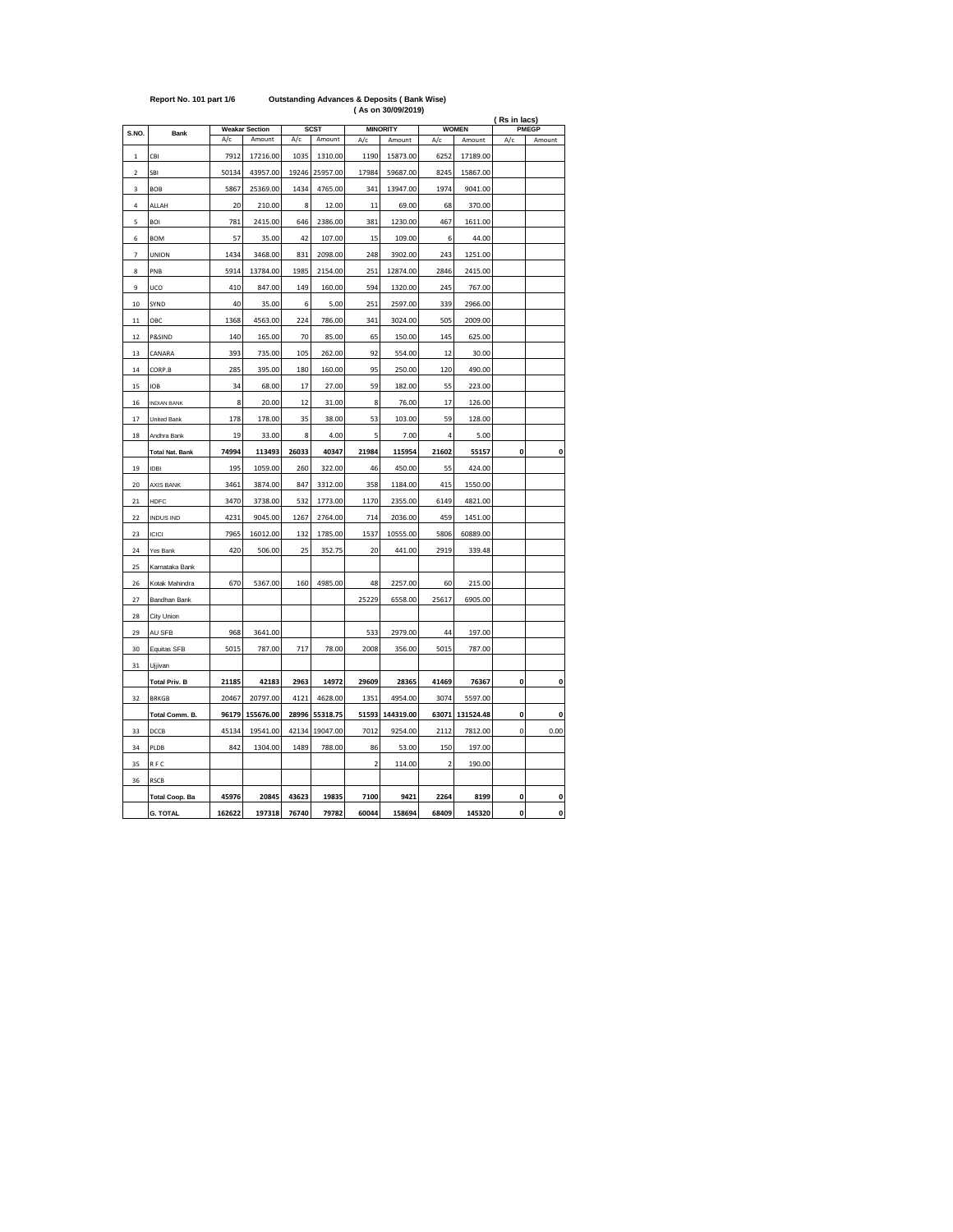|                         |                        |        | <b>Weakar Section</b> |       | <b>SCST</b> |             | <b>MINORITY</b> |       | <b>WOMEN</b> | (Rs in lacs) | PMEGP        |
|-------------------------|------------------------|--------|-----------------------|-------|-------------|-------------|-----------------|-------|--------------|--------------|--------------|
| S.NO.                   | Bank                   | A/c    | Amount                | A/c   | Amount      | A/c         | Amount          | A/c   | Amount       | A/c          | Amount       |
| $\mathbf 1$             | CBI                    | 7912   | 17216.00              | 1035  | 1310.00     | 1190        | 15873.00        | 6252  | 17189.00     |              |              |
| $\overline{\mathbf{c}}$ | SBI                    | 50134  | 43957.00              | 19246 | 25957.00    | 17984       | 59687.00        | 8245  | 15867.00     |              |              |
| 3                       | <b>BOB</b>             | 5867   | 25369.00              | 1434  | 4765.00     | 341         | 13947.00        | 1974  | 9041.00      |              |              |
| 4                       | ALLAH                  | 20     | 210.00                | 8     | 12.00       | 11          | 69.00           | 68    | 370.00       |              |              |
| 5                       | BOI                    | 781    | 2415.00               | 646   | 2386.00     | 381         | 1230.00         | 467   | 1611.00      |              |              |
| 6                       | <b>BOM</b>             | 57     | 35.00                 | 42    | 107.00      | 15          | 109.00          | 6     | 44.00        |              |              |
| 7                       | UNION                  | 1434   | 3468.00               | 831   | 2098.00     | 248         | 3902.00         | 243   | 1251.00      |              |              |
| 8                       | PNB                    | 5914   | 13784.00              | 1985  | 2154.00     | 251         | 12874.00        | 2846  | 2415.00      |              |              |
| 9                       | UCO                    | 410    | 847.00                | 149   | 160.00      | 594         | 1320.00         | 245   | 767.00       |              |              |
| 10                      | SYND                   | 40     | 35.00                 | 6     | 5.00        | 251         | 2597.00         | 339   | 2966.00      |              |              |
| 11                      | OBC                    | 1368   | 4563.00               | 224   | 786.00      | 341         | 3024.00         | 505   | 2009.00      |              |              |
| 12                      | P&SIND                 | 140    | 165.00                | 70    | 85.00       | 65          | 150.00          | 145   | 625.00       |              |              |
| 13                      | CANARA                 | 393    | 735.00                | 105   | 262.00      | 92          | 554.00          | 12    | 30.00        |              |              |
| 14                      | CORP.B                 | 285    | 395.00                | 180   | 160.00      | 95          | 250.00          | 120   | 490.00       |              |              |
| 15                      | <b>IOB</b>             | 34     | 68.00                 | 17    | 27.00       | 59          | 182.00          | 55    | 223.00       |              |              |
| 16                      | <b>INDIAN BANK</b>     | 8      | 20.00                 | 12    | 31.00       | 8           | 76.00           | 17    | 126.00       |              |              |
| 17                      | United Bank            | 178    | 178.00                | 35    | 38.00       | 53          | 103.00          | 59    | 128.00       |              |              |
| 18                      | Andhra Bank            | 19     | 33.00                 | 8     | 4.00        | 5           | 7.00            | 4     | 5.00         |              |              |
|                         | <b>Total Nat. Bank</b> | 74994  | 113493                | 26033 | 40347       | 21984       | 115954          | 21602 | 55157        | 0            | 0            |
| 19                      | <b>IDBI</b>            | 195    | 1059.00               | 260   | 322.00      | 46          | 450.00          | 55    | 424.00       |              |              |
| 20                      | AXIS BANK              | 3461   | 3874.00               | 847   | 3312.00     | 358         | 1184.00         | 415   | 1550.00      |              |              |
| 21                      | <b>HDFC</b>            | 3470   | 3738.00               | 532   | 1773.00     | 1170        | 2355.00         | 6149  | 4821.00      |              |              |
| 22                      | <b>INDUS IND</b>       | 4231   | 9045.00               | 1267  | 2764.00     | 714         | 2036.00         | 459   | 1451.00      |              |              |
| 23                      | <b>ICICI</b>           | 7965   | 16012.00              | 132   | 1785.00     | 1537        | 10555.00        | 5806  | 60889.00     |              |              |
| 24                      | Yes Bank               | 420    | 506.00                | 25    | 352.75      | 20          | 441.00          | 2919  | 339.48       |              |              |
| 25                      | Karnataka Bank         |        |                       |       |             |             |                 |       |              |              |              |
| 26                      | Kotak Mahindra         | 670    | 5367.00               | 160   | 4985.00     | 48          | 2257.00         | 60    | 215.00       |              |              |
| 27                      | Bandhan Bank           |        |                       |       |             | 25229       | 6558.00         | 25617 | 6905.00      |              |              |
| 28                      | City Union             |        |                       |       |             |             |                 |       |              |              |              |
| 29                      | AU SFB                 | 968    | 3641.00               |       |             | 533         | 2979.00         | 44    | 197.00       |              |              |
| 30                      | Equitas SFB            | 5015   | 787.00                | 717   | 78.00       | 2008        | 356.00          | 5015  | 787.00       |              |              |
| 31                      | Ujjivan                |        |                       |       |             |             |                 |       |              |              |              |
|                         | <b>Total Priv. B</b>   | 21185  | 42183                 | 2963  | 14972       | 29609       | 28365           | 41469 | 76367        | 0            | o            |
| 32                      | <b>BRKGB</b>           | 20467  | 20797.00              | 4121  | 4628.00     | 1351        | 4954.00         | 3074  | 5597.00      |              |              |
|                         | Total Comm. B.         | 96179  | 155676.00             | 28996 | 55318.75    | 51593       | 144319.00       | 63071 | 131524.48    | $\mathbf{0}$ | 0            |
| 33                      | DCCB                   | 45134  | 19541.00              | 42134 | 19047.00    | 7012        | 9254.00         | 2112  | 7812.00      | 0            | 0.00         |
| 34                      | PLDB                   | 842    | 1304.00               | 1489  | 788.00      | 86          | 53.00           | 150   | 197.00       |              |              |
| 35                      | RFC                    |        |                       |       |             | $\mathbf 2$ | 114.00          | 2     | 190.00       |              |              |
| 36                      | <b>RSCB</b>            |        |                       |       |             |             |                 |       |              |              |              |
|                         | <b>Total Coop. Ba</b>  | 45976  | 20845                 | 43623 | 19835       | 7100        | 9421            | 2264  | 8199         | 0            | 0            |
|                         | <b>G. TOTAL</b>        | 162622 | 197318                | 76740 | 79782       | 60044       | 158694          | 68409 | 145320       | $\mathbf{o}$ | $\mathbf{0}$ |